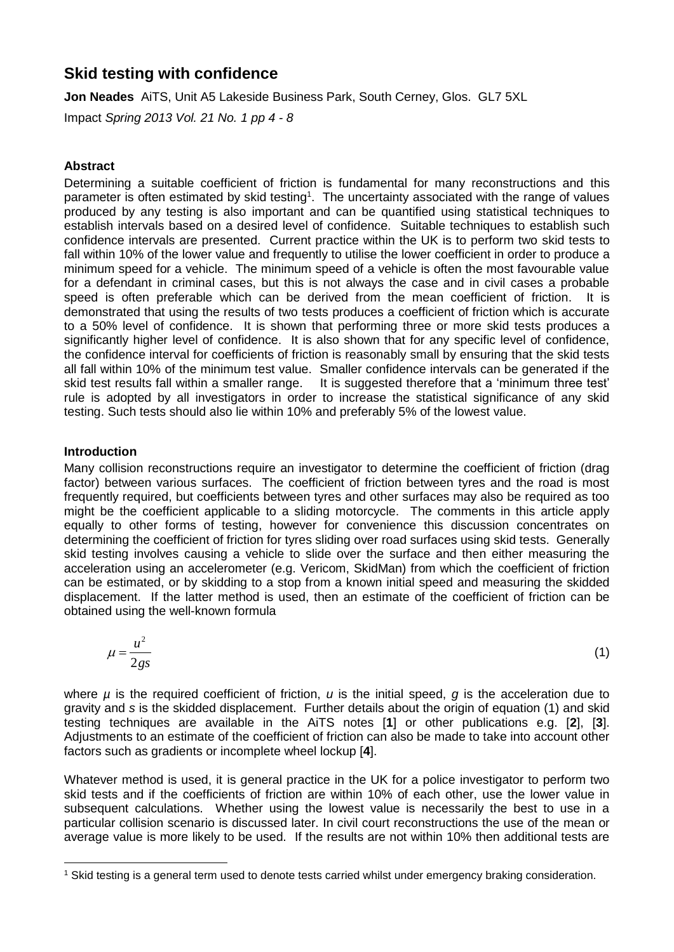# **Skid testing with confidence**

**Jon Neades** AiTS, Unit A5 Lakeside Business Park, South Cerney, Glos. GL7 5XL

Impact *Spring 2013 Vol. 21 No. 1 pp 4 - 8*

## **Abstract**

Determining a suitable coefficient of friction is fundamental for many reconstructions and this parameter is often estimated by skid testing<sup>1</sup>. The uncertainty associated with the range of values produced by any testing is also important and can be quantified using statistical techniques to establish intervals based on a desired level of confidence. Suitable techniques to establish such confidence intervals are presented. Current practice within the UK is to perform two skid tests to fall within 10% of the lower value and frequently to utilise the lower coefficient in order to produce a minimum speed for a vehicle. The minimum speed of a vehicle is often the most favourable value for a defendant in criminal cases, but this is not always the case and in civil cases a probable speed is often preferable which can be derived from the mean coefficient of friction. It is demonstrated that using the results of two tests produces a coefficient of friction which is accurate to a 50% level of confidence. It is shown that performing three or more skid tests produces a significantly higher level of confidence. It is also shown that for any specific level of confidence, the confidence interval for coefficients of friction is reasonably small by ensuring that the skid tests all fall within 10% of the minimum test value. Smaller confidence intervals can be generated if the skid test results fall within a smaller range. It is suggested therefore that a 'minimum three test' rule is adopted by all investigators in order to increase the statistical significance of any skid testing. Such tests should also lie within 10% and preferably 5% of the lowest value.

## **Introduction**

Many collision reconstructions require an investigator to determine the coefficient of friction (drag factor) between various surfaces. The coefficient of friction between tyres and the road is most frequently required, but coefficients between tyres and other surfaces may also be required as too might be the coefficient applicable to a sliding motorcycle. The comments in this article apply equally to other forms of testing, however for convenience this discussion concentrates on determining the coefficient of friction for tyres sliding over road surfaces using skid tests. Generally skid testing involves causing a vehicle to slide over the surface and then either measuring the acceleration using an accelerometer (e.g. Vericom, SkidMan) from which the coefficient of friction can be estimated, or by skidding to a stop from a known initial speed and measuring the skidded displacement. If the latter method is used, then an estimate of the coefficient of friction can be obtained using the well-known formula

$$
\mu = \frac{u^2}{2gs} \tag{1}
$$

where *µ* is the required coefficient of friction, *u* is the initial speed, *g* is the acceleration due to gravity and *s* is the skidded displacement. Further details about the origin of equation (1) and skid testing techniques are available in the AiTS notes [**1**] or other publications e.g. [**2**], [**3**]. Adjustments to an estimate of the coefficient of friction can also be made to take into account other factors such as gradients or incomplete wheel lockup [**4**].

Whatever method is used, it is general practice in the UK for a police investigator to perform two skid tests and if the coefficients of friction are within 10% of each other, use the lower value in subsequent calculations. Whether using the lowest value is necessarily the best to use in a particular collision scenario is discussed later. In civil court reconstructions the use of the mean or average value is more likely to be used. If the results are not within 10% then additional tests are

 $\overline{a}$ <sup>1</sup> Skid testing is a general term used to denote tests carried whilst under emergency braking consideration.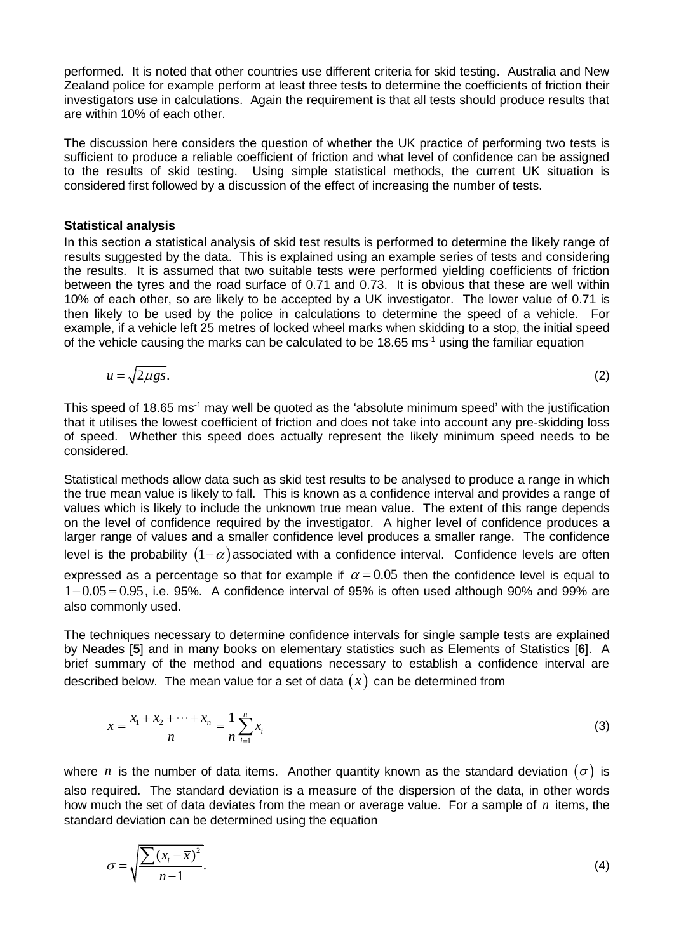performed. It is noted that other countries use different criteria for skid testing. Australia and New Zealand police for example perform at least three tests to determine the coefficients of friction their investigators use in calculations. Again the requirement is that all tests should produce results that are within 10% of each other.

The discussion here considers the question of whether the UK practice of performing two tests is sufficient to produce a reliable coefficient of friction and what level of confidence can be assigned to the results of skid testing. Using simple statistical methods, the current UK situation is considered first followed by a discussion of the effect of increasing the number of tests.

#### **Statistical analysis**

In this section a statistical analysis of skid test results is performed to determine the likely range of results suggested by the data. This is explained using an example series of tests and considering the results. It is assumed that two suitable tests were performed yielding coefficients of friction between the tyres and the road surface of 0.71 and 0.73. It is obvious that these are well within 10% of each other, so are likely to be accepted by a UK investigator. The lower value of 0.71 is then likely to be used by the police in calculations to determine the speed of a vehicle. For example, if a vehicle left 25 metres of locked wheel marks when skidding to a stop, the initial speed of the vehicle causing the marks can be calculated to be 18.65 ms<sup>-1</sup> using the familiar equation

$$
u = \sqrt{2\mu gs}.\tag{2}
$$

This speed of 18.65 ms<sup>-1</sup> may well be quoted as the 'absolute minimum speed' with the justification that it utilises the lowest coefficient of friction and does not take into account any pre-skidding loss of speed. Whether this speed does actually represent the likely minimum speed needs to be considered.

Statistical methods allow data such as skid test results to be analysed to produce a range in which the true mean value is likely to fall. This is known as a confidence interval and provides a range of values which is likely to include the unknown true mean value. The extent of this range depends on the level of confidence required by the investigator. A higher level of confidence produces a larger range of values and a smaller confidence level produces a smaller range. The confidence level is the probability  $(1-\alpha)$  associated with a confidence interval. Confidence levels are often expressed as a percentage so that for example if  $\alpha = 0.05$  then the confidence level is equal to  $1 - 0.05 = 0.95$ , i.e. 95%. A confidence interval of 95% is often used although 90% and 99% are also commonly used.

The techniques necessary to determine confidence intervals for single sample tests are explained by Neades [**5**] and in many books on elementary statistics such as Elements of Statistics [**6**]. A brief summary of the method and equations necessary to establish a confidence interval are described below. The mean value for a set of data  $(\bar{x})$  can be determined from

$$
\overline{x} = \frac{x_1 + x_2 + \dots + x_n}{n} = \frac{1}{n} \sum_{i=1}^n x_i
$$
\n(3)

where n is the number of data items. Another quantity known as the standard deviation  $(\sigma)$  is also required. The standard deviation is a measure of the dispersion of the data, in other words how much the set of data deviates from the mean or average value. For a sample of n items, the standard deviation can be determined using the equation

$$
\sigma = \sqrt{\frac{\sum (x_i - \overline{x})^2}{n - 1}}.
$$
\n(4)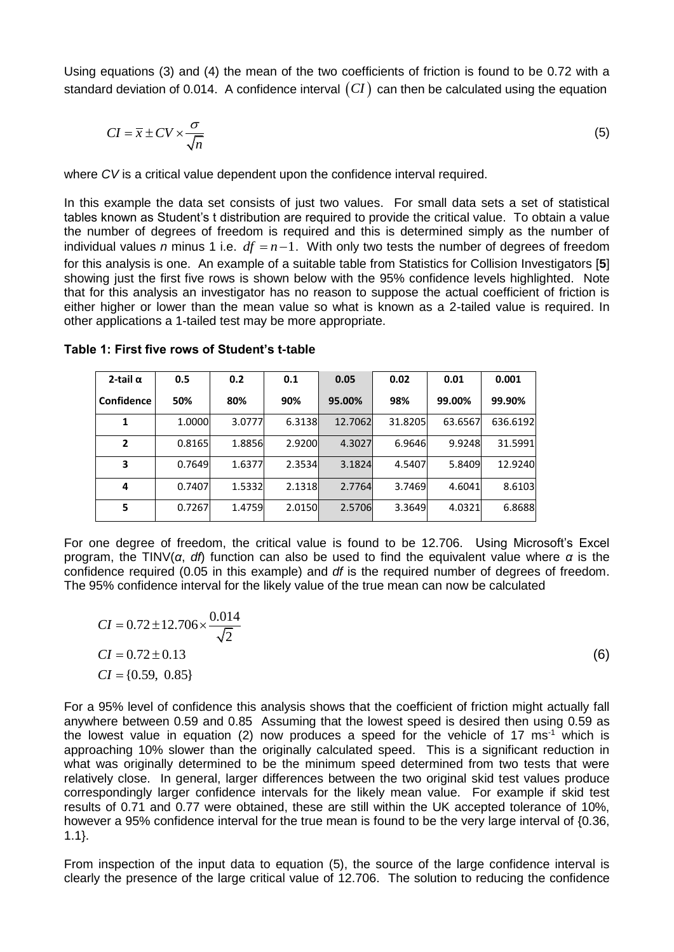Using equations (3) and (4) the mean of the two coefficients of friction is found to be 0.72 with a standard deviation of 0.014. A confidence interval  $(CI)$  can then be calculated using the equation

$$
CI = \overline{x} \pm CV \times \frac{\sigma}{\sqrt{n}} \tag{5}
$$

where *CV* is a critical value dependent upon the confidence interval required.

In this example the data set consists of just two values. For small data sets a set of statistical tables known as Student's t distribution are required to provide the critical value. To obtain a value the number of degrees of freedom is required and this is determined simply as the number of individual values *n* minus 1 i.e.  $df = n - 1$ . With only two tests the number of degrees of freedom for this analysis is one. An example of a suitable table from Statistics for Collision Investigators [**5**] showing just the first five rows is shown below with the 95% confidence levels highlighted. Note that for this analysis an investigator has no reason to suppose the actual coefficient of friction is either higher or lower than the mean value so what is known as a 2-tailed value is required. In other applications a 1-tailed test may be more appropriate.

| 2-tail $\alpha$   | 0.5    | 0.2    | 0.1    | 0.05    | 0.02    | 0.01    | 0.001    |
|-------------------|--------|--------|--------|---------|---------|---------|----------|
| <b>Confidence</b> | 50%    | 80%    | 90%    | 95.00%  | 98%     | 99.00%  | 99.90%   |
| 1                 | 1.0000 | 3.0777 | 6.3138 | 12.7062 | 31.8205 | 63.6567 | 636.6192 |
| $\mathbf{2}$      | 0.8165 | 1.8856 | 2.9200 | 4.3027  | 6.9646  | 9.9248  | 31.5991  |
| 3                 | 0.7649 | 1.6377 | 2.3534 | 3.1824  | 4.5407  | 5.8409  | 12.9240  |
| 4                 | 0.7407 | 1.5332 | 2.1318 | 2.7764  | 3.7469  | 4.6041  | 8.6103   |
| 5                 | 0.7267 | 1.4759 | 2.0150 | 2.5706  | 3.3649  | 4.0321  | 6.8688   |

**Table 1: First five rows of Student's t-table**

For one degree of freedom, the critical value is found to be 12.706. Using Microsoft's Excel program, the TINV(*α*, *df*) function can also be used to find the equivalent value where *α* is the confidence required (0.05 in this example) and *df* is the required number of degrees of freedom. The 95% confidence interval for the likely value of the true mean can now be calculated

$$
CI = 0.72 \pm 12.706 \times \frac{0.014}{\sqrt{2}}
$$
  
\nCI = 0.72 \pm 0.13  
\nCI = {0.59, 0.85} (6)

For a 95% level of confidence this analysis shows that the coefficient of friction might actually fall anywhere between 0.59 and 0.85 Assuming that the lowest speed is desired then using 0.59 as the lowest value in equation (2) now produces a speed for the vehicle of 17 ms<sup>-1</sup> which is approaching 10% slower than the originally calculated speed. This is a significant reduction in what was originally determined to be the minimum speed determined from two tests that were relatively close. In general, larger differences between the two original skid test values produce correspondingly larger confidence intervals for the likely mean value. For example if skid test results of 0.71 and 0.77 were obtained, these are still within the UK accepted tolerance of 10%, however a 95% confidence interval for the true mean is found to be the very large interval of {0.36, 1.1}.

From inspection of the input data to equation (5), the source of the large confidence interval is clearly the presence of the large critical value of 12.706. The solution to reducing the confidence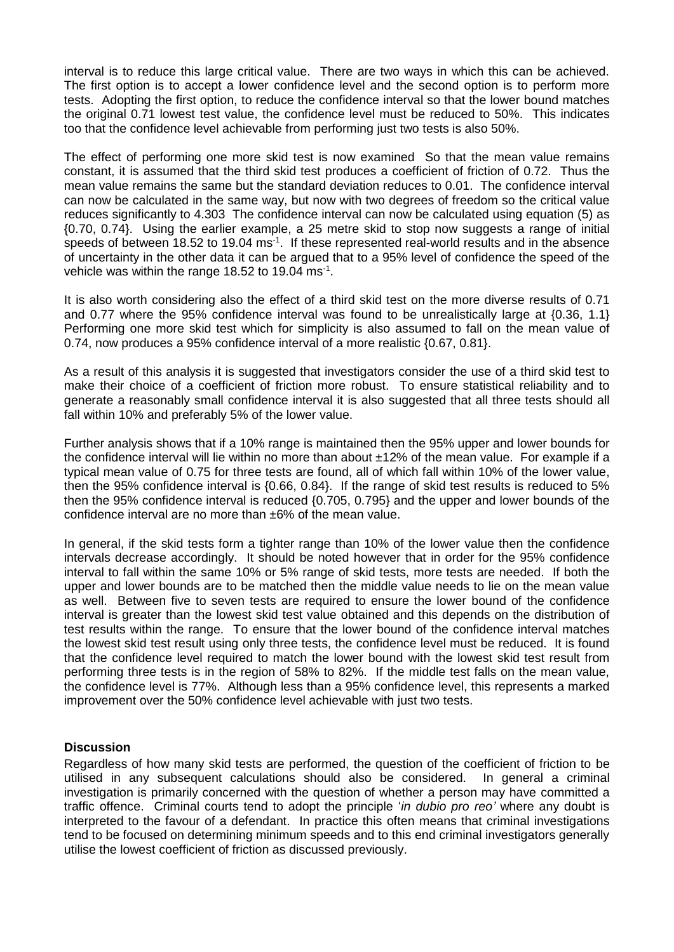interval is to reduce this large critical value. There are two ways in which this can be achieved. The first option is to accept a lower confidence level and the second option is to perform more tests. Adopting the first option, to reduce the confidence interval so that the lower bound matches the original 0.71 lowest test value, the confidence level must be reduced to 50%. This indicates too that the confidence level achievable from performing just two tests is also 50%.

The effect of performing one more skid test is now examined So that the mean value remains constant, it is assumed that the third skid test produces a coefficient of friction of 0.72. Thus the mean value remains the same but the standard deviation reduces to 0.01. The confidence interval can now be calculated in the same way, but now with two degrees of freedom so the critical value reduces significantly to 4.303 The confidence interval can now be calculated using equation (5) as {0.70, 0.74}. Using the earlier example, a 25 metre skid to stop now suggests a range of initial speeds of between 18.52 to 19.04 ms<sup>-1</sup>. If these represented real-world results and in the absence of uncertainty in the other data it can be argued that to a 95% level of confidence the speed of the vehicle was within the range 18.52 to 19.04 ms $^{-1}$ .

It is also worth considering also the effect of a third skid test on the more diverse results of 0.71 and 0.77 where the 95% confidence interval was found to be unrealistically large at {0.36, 1.1} Performing one more skid test which for simplicity is also assumed to fall on the mean value of 0.74, now produces a 95% confidence interval of a more realistic {0.67, 0.81}.

As a result of this analysis it is suggested that investigators consider the use of a third skid test to make their choice of a coefficient of friction more robust. To ensure statistical reliability and to generate a reasonably small confidence interval it is also suggested that all three tests should all fall within 10% and preferably 5% of the lower value.

Further analysis shows that if a 10% range is maintained then the 95% upper and lower bounds for the confidence interval will lie within no more than about ±12% of the mean value. For example if a typical mean value of 0.75 for three tests are found, all of which fall within 10% of the lower value, then the 95% confidence interval is {0.66, 0.84}. If the range of skid test results is reduced to 5% then the 95% confidence interval is reduced {0.705, 0.795} and the upper and lower bounds of the confidence interval are no more than ±6% of the mean value.

In general, if the skid tests form a tighter range than 10% of the lower value then the confidence intervals decrease accordingly. It should be noted however that in order for the 95% confidence interval to fall within the same 10% or 5% range of skid tests, more tests are needed. If both the upper and lower bounds are to be matched then the middle value needs to lie on the mean value as well. Between five to seven tests are required to ensure the lower bound of the confidence interval is greater than the lowest skid test value obtained and this depends on the distribution of test results within the range. To ensure that the lower bound of the confidence interval matches the lowest skid test result using only three tests, the confidence level must be reduced. It is found that the confidence level required to match the lower bound with the lowest skid test result from performing three tests is in the region of 58% to 82%. If the middle test falls on the mean value, the confidence level is 77%. Although less than a 95% confidence level, this represents a marked improvement over the 50% confidence level achievable with just two tests.

## **Discussion**

Regardless of how many skid tests are performed, the question of the coefficient of friction to be utilised in any subsequent calculations should also be considered. In general a criminal investigation is primarily concerned with the question of whether a person may have committed a traffic offence. Criminal courts tend to adopt the principle '*in dubio pro reo'* where any doubt is interpreted to the favour of a defendant. In practice this often means that criminal investigations tend to be focused on determining minimum speeds and to this end criminal investigators generally utilise the lowest coefficient of friction as discussed previously.